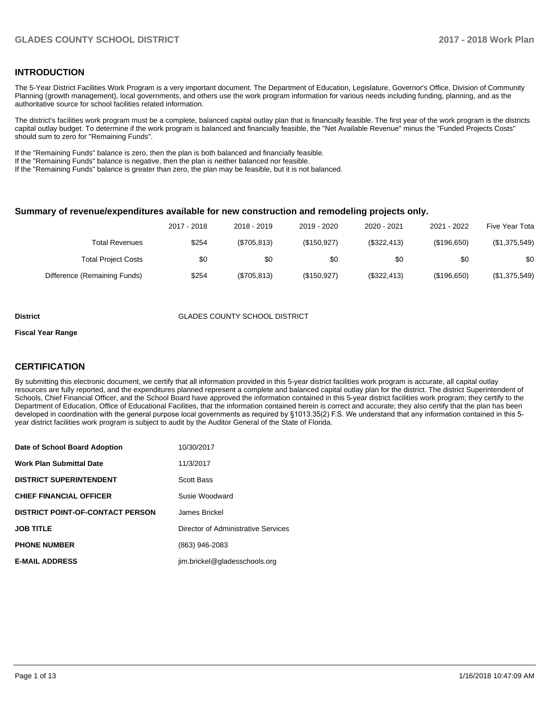## **INTRODUCTION**

The 5-Year District Facilities Work Program is a very important document. The Department of Education, Legislature, Governor's Office, Division of Community Planning (growth management), local governments, and others use the work program information for various needs including funding, planning, and as the authoritative source for school facilities related information.

The district's facilities work program must be a complete, balanced capital outlay plan that is financially feasible. The first year of the work program is the districts capital outlay budget. To determine if the work program is balanced and financially feasible, the "Net Available Revenue" minus the "Funded Projects Costs" should sum to zero for "Remaining Funds".

If the "Remaining Funds" balance is zero, then the plan is both balanced and financially feasible.

If the "Remaining Funds" balance is negative, then the plan is neither balanced nor feasible.

If the "Remaining Funds" balance is greater than zero, the plan may be feasible, but it is not balanced.

#### **Summary of revenue/expenditures available for new construction and remodeling projects only.**

| Five Year Tota | 2021 - 2022 | 2020 - 2021 | 2019 - 2020 | 2018 - 2019  | 2017 - 2018 |                              |
|----------------|-------------|-------------|-------------|--------------|-------------|------------------------------|
| (\$1,375,549)  | (\$196,650) | (\$322,413) | (S150.927)  | (\$705, 813) | \$254       | Total Revenues               |
| \$0            | \$0         | \$0         | \$0         | \$0          | \$0         | <b>Total Project Costs</b>   |
| (\$1,375,549)  | (\$196,650) | (\$322,413) | (\$150,927) | (\$705, 813) | \$254       | Difference (Remaining Funds) |

#### **District GLADES COUNTY SCHOOL DISTRICT**

#### **Fiscal Year Range**

## **CERTIFICATION**

By submitting this electronic document, we certify that all information provided in this 5-year district facilities work program is accurate, all capital outlay resources are fully reported, and the expenditures planned represent a complete and balanced capital outlay plan for the district. The district Superintendent of Schools, Chief Financial Officer, and the School Board have approved the information contained in this 5-year district facilities work program; they certify to the Department of Education, Office of Educational Facilities, that the information contained herein is correct and accurate; they also certify that the plan has been developed in coordination with the general purpose local governments as required by §1013.35(2) F.S. We understand that any information contained in this 5year district facilities work program is subject to audit by the Auditor General of the State of Florida.

| Date of School Board Adoption           | 10/30/2017                          |
|-----------------------------------------|-------------------------------------|
| Work Plan Submittal Date                | 11/3/2017                           |
| <b>DISTRICT SUPERINTENDENT</b>          | Scott Bass                          |
| <b>CHIEF FINANCIAL OFFICER</b>          | Susie Woodward                      |
| <b>DISTRICT POINT-OF-CONTACT PERSON</b> | James Brickel                       |
| JOB TITLE                               | Director of Administrative Services |
| <b>PHONE NUMBER</b>                     | (863) 946-2083                      |
| <b>E-MAIL ADDRESS</b>                   | jim.brickel@gladesschools.org       |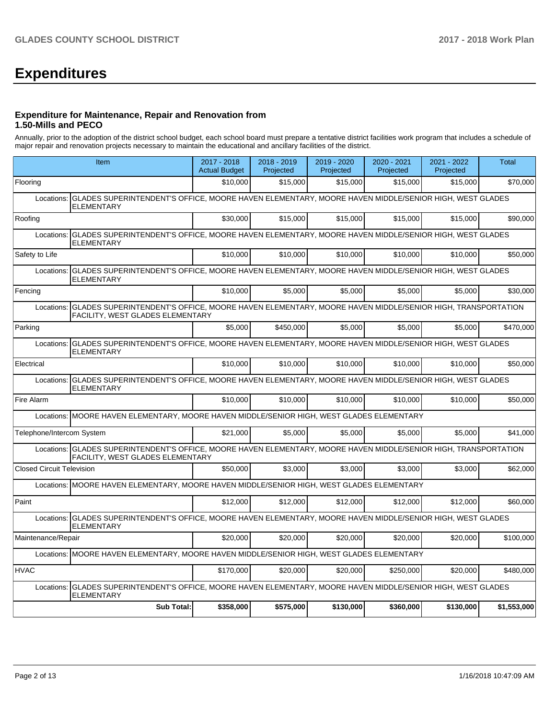# **Expenditures**

## **Expenditure for Maintenance, Repair and Renovation from 1.50-Mills and PECO**

Annually, prior to the adoption of the district school budget, each school board must prepare a tentative district facilities work program that includes a schedule of major repair and renovation projects necessary to maintain the educational and ancillary facilities of the district.

|                                  | Item                                                                                                                                                         |           | 2018 - 2019<br>Projected | 2019 - 2020<br>Projected | 2020 - 2021<br>Projected | 2021 - 2022<br>Projected | Total       |  |  |  |
|----------------------------------|--------------------------------------------------------------------------------------------------------------------------------------------------------------|-----------|--------------------------|--------------------------|--------------------------|--------------------------|-------------|--|--|--|
| Flooring                         |                                                                                                                                                              | \$10,000  | \$15,000                 | \$15,000                 | \$15,000                 | \$15,000                 | \$70,000    |  |  |  |
| Locations:                       | GLADES SUPERINTENDENT'S OFFICE, MOORE HAVEN ELEMENTARY, MOORE HAVEN MIDDLE/SENIOR HIGH, WEST GLADES<br><b>ELEMENTARY</b>                                     |           |                          |                          |                          |                          |             |  |  |  |
| Roofing                          |                                                                                                                                                              | \$30,000  | \$15,000                 | \$15,000                 | \$15,000                 | \$15,000                 | \$90.000    |  |  |  |
| Locations:                       | GLADES SUPERINTENDENT'S OFFICE, MOORE HAVEN ELEMENTARY, MOORE HAVEN MIDDLE/SENIOR HIGH, WEST GLADES<br><b>ELEMENTARY</b>                                     |           |                          |                          |                          |                          |             |  |  |  |
| Safety to Life                   |                                                                                                                                                              | \$10,000  | \$10,000                 | \$10,000                 | \$10,000                 | \$10,000                 | \$50,000    |  |  |  |
| Locations:                       | GLADES SUPERINTENDENT'S OFFICE, MOORE HAVEN ELEMENTARY, MOORE HAVEN MIDDLE/SENIOR HIGH, WEST GLADES<br>ELEMENTARY                                            |           |                          |                          |                          |                          |             |  |  |  |
| Fencing                          |                                                                                                                                                              | \$10,000  | \$5,000                  | \$5,000                  | \$5,000                  | \$5,000                  | \$30,000    |  |  |  |
| Locations:                       | GLADES SUPERINTENDENT'S OFFICE, MOORE HAVEN ELEMENTARY, MOORE HAVEN MIDDLE/SENIOR HIGH, TRANSPORTATION<br><b>FACILITY, WEST GLADES ELEMENTARY</b>            |           |                          |                          |                          |                          |             |  |  |  |
| Parking                          |                                                                                                                                                              | \$5.000   | \$450.000                | \$5.000                  | \$5.000                  | \$5,000                  | \$470.000   |  |  |  |
| Locations:                       | GLADES SUPERINTENDENT'S OFFICE, MOORE HAVEN ELEMENTARY, MOORE HAVEN MIDDLE/SENIOR HIGH, WEST GLADES<br><b>ELEMENTARY</b>                                     |           |                          |                          |                          |                          |             |  |  |  |
| Electrical                       |                                                                                                                                                              | \$10,000  | \$10.000                 | \$10.000                 | \$10,000                 | \$10,000                 | \$50.000    |  |  |  |
| Locations:                       | GLADES SUPERINTENDENT'S OFFICE, MOORE HAVEN ELEMENTARY, MOORE HAVEN MIDDLE/SENIOR HIGH, WEST GLADES<br><b>ELEMENTARY</b>                                     |           |                          |                          |                          |                          |             |  |  |  |
| Fire Alarm                       |                                                                                                                                                              | \$10.000  | \$10,000                 | \$10,000                 | \$10,000                 | \$10,000                 | \$50,000    |  |  |  |
|                                  | Locations: MOORE HAVEN ELEMENTARY, MOORE HAVEN MIDDLE/SENIOR HIGH, WEST GLADES ELEMENTARY                                                                    |           |                          |                          |                          |                          |             |  |  |  |
| Telephone/Intercom System        |                                                                                                                                                              | \$21,000  | \$5,000                  | \$5,000                  | \$5,000                  | \$5,000                  | \$41,000    |  |  |  |
|                                  | Locations: GLADES SUPERINTENDENT'S OFFICE, MOORE HAVEN ELEMENTARY, MOORE HAVEN MIDDLE/SENIOR HIGH, TRANSPORTATION<br><b>FACILITY, WEST GLADES ELEMENTARY</b> |           |                          |                          |                          |                          |             |  |  |  |
| <b>Closed Circuit Television</b> |                                                                                                                                                              | \$50,000  | \$3.000                  | \$3.000                  | \$3.000                  | \$3.000                  | \$62,000    |  |  |  |
|                                  | Locations: MOORE HAVEN ELEMENTARY, MOORE HAVEN MIDDLE/SENIOR HIGH, WEST GLADES ELEMENTARY                                                                    |           |                          |                          |                          |                          |             |  |  |  |
| Paint                            |                                                                                                                                                              | \$12,000  | \$12,000                 | \$12,000                 | \$12,000                 | \$12,000                 | \$60,000    |  |  |  |
| Locations:                       | GLADES SUPERINTENDENT'S OFFICE, MOORE HAVEN ELEMENTARY, MOORE HAVEN MIDDLE/SENIOR HIGH, WEST GLADES<br><b>ELEMENTARY</b>                                     |           |                          |                          |                          |                          |             |  |  |  |
| Maintenance/Repair               |                                                                                                                                                              | \$20,000  | \$20,000                 | \$20,000                 | \$20,000                 | \$20,000                 | \$100,000   |  |  |  |
| Locations:                       | MOORE HAVEN ELEMENTARY, MOORE HAVEN MIDDLE/SENIOR HIGH, WEST GLADES ELEMENTARY                                                                               |           |                          |                          |                          |                          |             |  |  |  |
| <b>HVAC</b>                      |                                                                                                                                                              | \$170,000 | \$20,000                 | \$20,000                 | \$250.000                | \$20,000                 | \$480,000   |  |  |  |
| Locations:                       | GLADES SUPERINTENDENT'S OFFICE, MOORE HAVEN ELEMENTARY, MOORE HAVEN MIDDLE/SENIOR HIGH, WEST GLADES<br><b>ELEMENTARY</b>                                     |           |                          |                          |                          |                          |             |  |  |  |
|                                  | Sub Total:                                                                                                                                                   | \$358,000 | \$575,000                | \$130,000                | \$360,000                | \$130,000                | \$1,553,000 |  |  |  |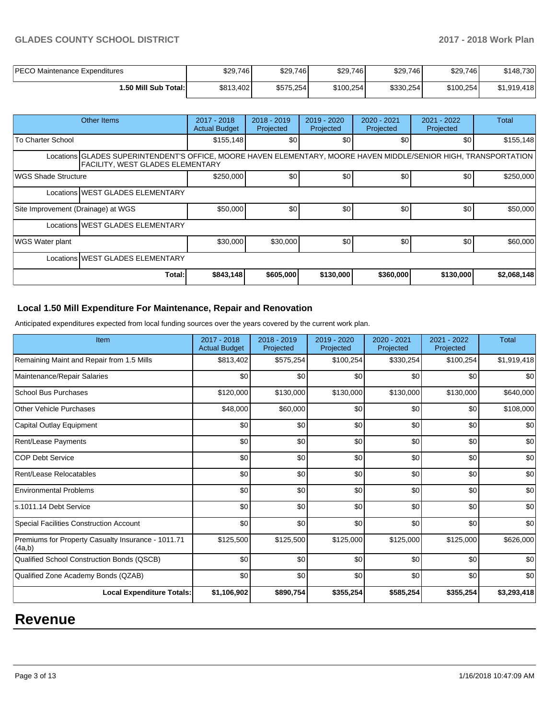## **GLADES COUNTY SCHOOL DISTRICT 2017 - 2018 Work Plan**

| PECO Maintenance Expenditures | \$29,746  | \$29,746  | \$29,746  | \$29,746  | \$29,746  | \$148.730   |
|-------------------------------|-----------|-----------|-----------|-----------|-----------|-------------|
| i.50 Mill Sub Total:İ         | \$813,402 | \$575,254 | \$100,254 | \$330,254 | \$100,254 | \$1.919.418 |

|                                                                                                                                                             | Other Items                      | 2017 - 2018<br><b>Actual Budget</b> | 2018 - 2019<br>Projected | $2019 - 2020$<br>Projected | 2020 - 2021<br>Projected | 2021 - 2022<br>Projected | <b>Total</b> |  |  |
|-------------------------------------------------------------------------------------------------------------------------------------------------------------|----------------------------------|-------------------------------------|--------------------------|----------------------------|--------------------------|--------------------------|--------------|--|--|
| To Charter School                                                                                                                                           |                                  | \$155, 148                          | \$0 <sub>1</sub>         | \$0                        | \$0                      | \$0                      | \$155,148    |  |  |
| Locations GLADES SUPERINTENDENT'S OFFICE, MOORE HAVEN ELEMENTARY, MOORE HAVEN MIDDLE/SENIOR HIGH, TRANSPORTATION<br><b>FACILITY. WEST GLADES ELEMENTARY</b> |                                  |                                     |                          |                            |                          |                          |              |  |  |
| WGS Shade Structure                                                                                                                                         |                                  | \$250,000                           | \$0 <sub>1</sub>         | \$0                        | \$0                      | \$0                      | \$250,000    |  |  |
|                                                                                                                                                             | Locations WEST GLADES ELEMENTARY |                                     |                          |                            |                          |                          |              |  |  |
| Site Improvement (Drainage) at WGS                                                                                                                          |                                  | \$50,000                            | \$0 <sub>1</sub>         | \$0                        | \$0                      | \$0                      | \$50,000     |  |  |
|                                                                                                                                                             | Locations WEST GLADES ELEMENTARY |                                     |                          |                            |                          |                          |              |  |  |
| <b>WGS Water plant</b>                                                                                                                                      |                                  | \$30,000                            | \$30,000                 | \$0                        | \$0                      | \$0                      | \$60,000     |  |  |
|                                                                                                                                                             | Locations WEST GLADES ELEMENTARY |                                     |                          |                            |                          |                          |              |  |  |
|                                                                                                                                                             | Total:                           | \$843,148                           | \$605,000                | \$130,000                  | \$360,000                | \$130,000                | \$2,068,148  |  |  |

## **Local 1.50 Mill Expenditure For Maintenance, Repair and Renovation**

Anticipated expenditures expected from local funding sources over the years covered by the current work plan.

| Item                                                         | 2017 - 2018<br><b>Actual Budget</b> | 2018 - 2019<br>Projected | 2019 - 2020<br>Projected | $2020 - 2021$<br>Projected | 2021 - 2022<br>Projected | <b>Total</b> |
|--------------------------------------------------------------|-------------------------------------|--------------------------|--------------------------|----------------------------|--------------------------|--------------|
| Remaining Maint and Repair from 1.5 Mills                    | \$813,402                           | \$575,254                | \$100,254                | \$330,254                  | \$100,254                | \$1,919,418  |
| Maintenance/Repair Salaries                                  | \$0                                 | \$0                      | \$0                      | \$0                        | \$0                      | \$0          |
| <b>School Bus Purchases</b>                                  | \$120,000                           | \$130,000                | \$130,000                | \$130,000                  | \$130,000                | \$640,000    |
| <b>Other Vehicle Purchases</b>                               | \$48,000                            | \$60,000                 | \$0                      | \$0                        | \$0                      | \$108,000    |
| Capital Outlay Equipment                                     | \$0                                 | \$0                      | \$0                      | \$0                        | \$0                      | \$0          |
| <b>Rent/Lease Payments</b>                                   | \$0                                 | \$0                      | \$0                      | \$0                        | \$0                      | \$0          |
| <b>COP Debt Service</b>                                      | \$0                                 | \$0                      | \$0                      | \$0                        | \$0                      | \$0          |
| Rent/Lease Relocatables                                      | \$0                                 | \$0                      | \$0                      | \$0                        | \$0                      | \$0          |
| <b>Environmental Problems</b>                                | \$0                                 | \$0                      | \$0                      | \$0                        | \$0                      | \$0          |
| ls.1011.14 Debt Service                                      | \$0                                 | \$0                      | \$0                      | \$0                        | \$0                      | \$0          |
| <b>Special Facilities Construction Account</b>               | \$0                                 | \$0                      | \$0                      | \$0                        | \$0                      | \$0          |
| Premiums for Property Casualty Insurance - 1011.71<br>(4a,b) | \$125,500                           | \$125,500                | \$125,000                | \$125,000                  | \$125,000                | \$626,000    |
| Qualified School Construction Bonds (QSCB)                   | \$0                                 | \$0                      | \$0                      | \$0                        | \$0                      | \$0          |
| Qualified Zone Academy Bonds (QZAB)                          | \$0                                 | \$0                      | \$0                      | \$0                        | \$0                      | \$0          |
| <b>Local Expenditure Totals:</b>                             | \$1,106,902                         | \$890,754                | \$355,254                | \$585,254                  | \$355,254                | \$3,293,418  |

## **Revenue**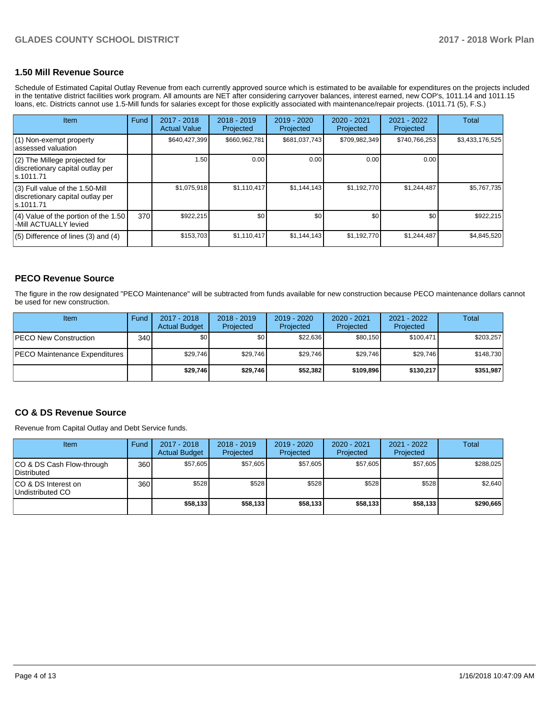## **1.50 Mill Revenue Source**

Schedule of Estimated Capital Outlay Revenue from each currently approved source which is estimated to be available for expenditures on the projects included in the tentative district facilities work program. All amounts are NET after considering carryover balances, interest earned, new COP's, 1011.14 and 1011.15 loans, etc. Districts cannot use 1.5-Mill funds for salaries except for those explicitly associated with maintenance/repair projects. (1011.71 (5), F.S.)

| <b>Item</b>                                                                         | Fund | $2017 - 2018$<br><b>Actual Value</b> | $2018 - 2019$<br>Projected | $2019 - 2020$<br>Projected | $2020 - 2021$<br>Projected | $2021 - 2022$<br>Projected | <b>Total</b>    |
|-------------------------------------------------------------------------------------|------|--------------------------------------|----------------------------|----------------------------|----------------------------|----------------------------|-----------------|
| $(1)$ Non-exempt property<br>lassessed valuation                                    |      | \$640,427,399                        | \$660,962,781              | \$681,037,743              | \$709,982,349              | \$740,766,253              | \$3,433,176,525 |
| $(2)$ The Millege projected for<br>discretionary capital outlay per<br>ls.1011.71   |      | 1.50                                 | 0.00                       | 0.00                       | 0.00                       | 0.00                       |                 |
| $(3)$ Full value of the 1.50-Mill<br>discretionary capital outlay per<br>ls.1011.71 |      | \$1,075,918                          | \$1,110,417                | \$1.144.143                | \$1,192,770                | \$1,244,487                | \$5,767,735     |
| $(4)$ Value of the portion of the 1.50<br>-Mill ACTUALLY levied                     | 370  | \$922,215                            | \$0                        | \$0                        | \$0                        | \$0                        | \$922,215       |
| $(5)$ Difference of lines $(3)$ and $(4)$                                           |      | \$153,703                            | \$1,110,417                | \$1,144,143                | \$1,192,770                | \$1,244,487                | \$4,845,520     |

## **PECO Revenue Source**

The figure in the row designated "PECO Maintenance" will be subtracted from funds available for new construction because PECO maintenance dollars cannot be used for new construction.

| <b>Item</b>                          | Fund         | 2017 - 2018<br><b>Actual Budget</b> | $2018 - 2019$<br>Projected | 2019 - 2020<br>Projected | $2020 - 2021$<br>Projected | 2021 - 2022<br>Projected | Total     |
|--------------------------------------|--------------|-------------------------------------|----------------------------|--------------------------|----------------------------|--------------------------|-----------|
| <b>IPECO New Construction</b>        | 340 <b>I</b> | \$0                                 | \$0                        | \$22.636                 | \$80.150                   | \$100.471                | \$203,257 |
| <b>PECO Maintenance Expenditures</b> |              | \$29.746                            | \$29.746                   | \$29.746                 | \$29.746                   | \$29.746                 | \$148,730 |
|                                      |              | \$29,746                            | \$29.746                   | \$52,382                 | \$109.896                  | \$130,217                | \$351,987 |

## **CO & DS Revenue Source**

Revenue from Capital Outlay and Debt Service funds.

| <b>Item</b>                               | Fund | $2017 - 2018$<br><b>Actual Budget</b> | $2018 - 2019$<br>Projected | 2019 - 2020<br>Projected | $2020 - 2021$<br>Projected | 2021 - 2022<br>Projected | <b>Total</b> |
|-------------------------------------------|------|---------------------------------------|----------------------------|--------------------------|----------------------------|--------------------------|--------------|
| ICO & DS Cash Flow-through<br>Distributed | 360  | \$57.605                              | \$57.605                   | \$57.605                 | \$57.605                   | \$57.605                 | \$288,025    |
| ICO & DS Interest on<br>Undistributed CO  | 360  | \$528                                 | \$528                      | \$528                    | \$528                      | \$528                    | \$2,640      |
|                                           |      | \$58,133                              | \$58,133                   | \$58.133                 | \$58.133                   | \$58,133                 | \$290,665    |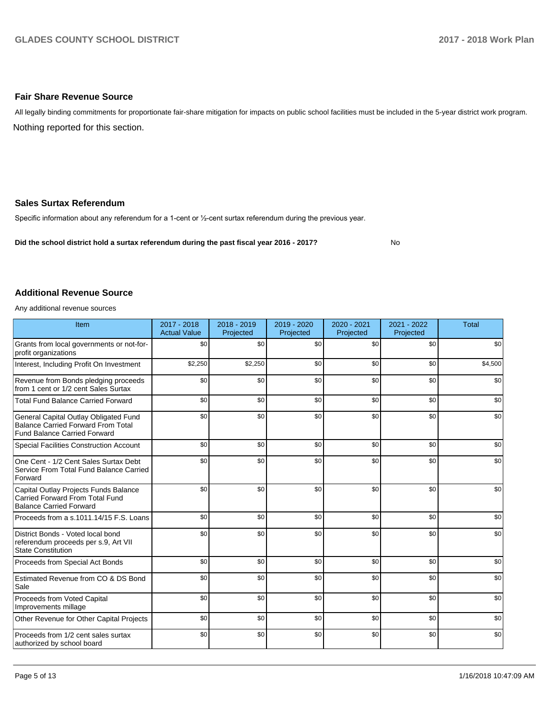## **Fair Share Revenue Source**

Nothing reported for this section. All legally binding commitments for proportionate fair-share mitigation for impacts on public school facilities must be included in the 5-year district work program.

## **Sales Surtax Referendum**

Specific information about any referendum for a 1-cent or 1/2-cent surtax referendum during the previous year.

**Did the school district hold a surtax referendum during the past fiscal year 2016 - 2017?**

No

## **Additional Revenue Source**

Any additional revenue sources

| Item                                                                                                                      | $2017 - 2018$<br><b>Actual Value</b> | $2018 - 2019$<br>Projected | 2019 - 2020<br>Projected | $2020 - 2021$<br>Projected | $2021 - 2022$<br>Projected | <b>Total</b> |
|---------------------------------------------------------------------------------------------------------------------------|--------------------------------------|----------------------------|--------------------------|----------------------------|----------------------------|--------------|
| Grants from local governments or not-for-<br>profit organizations                                                         | \$0                                  | \$0                        | \$0                      | \$0                        | \$0                        | \$0          |
| Interest, Including Profit On Investment                                                                                  | \$2,250                              | \$2,250                    | \$0                      | \$0                        | \$0                        | \$4,500      |
| Revenue from Bonds pledging proceeds<br>from 1 cent or 1/2 cent Sales Surtax                                              | \$0                                  | \$0                        | \$0                      | \$0                        | \$0                        | \$0          |
| <b>Total Fund Balance Carried Forward</b>                                                                                 | \$0                                  | \$0                        | \$0                      | \$0                        | \$0                        | \$0          |
| General Capital Outlay Obligated Fund<br><b>Balance Carried Forward From Total</b><br><b>Fund Balance Carried Forward</b> | \$0                                  | \$0                        | \$0                      | \$0                        | \$0                        | \$0          |
| <b>Special Facilities Construction Account</b>                                                                            | \$0                                  | \$0                        | \$0                      | \$0                        | \$0                        | \$0          |
| One Cent - 1/2 Cent Sales Surtax Debt<br>Service From Total Fund Balance Carried<br>Forward                               | \$0                                  | \$0                        | \$0                      | \$0                        | \$0                        | \$0          |
| Capital Outlay Projects Funds Balance<br><b>Carried Forward From Total Fund</b><br><b>Balance Carried Forward</b>         | \$0                                  | \$0                        | \$0                      | \$0                        | \$0                        | \$0          |
| Proceeds from a s.1011.14/15 F.S. Loans                                                                                   | \$0                                  | \$0                        | \$0                      | \$0                        | \$0                        | \$0          |
| District Bonds - Voted local bond<br>referendum proceeds per s.9, Art VII<br><b>State Constitution</b>                    | \$0                                  | \$0                        | \$0                      | \$0                        | \$0                        | \$0          |
| Proceeds from Special Act Bonds                                                                                           | \$0                                  | \$0                        | \$0                      | \$0                        | \$0                        | \$0          |
| Estimated Revenue from CO & DS Bond<br>Sale                                                                               | \$0                                  | \$0                        | \$0                      | \$0                        | \$0                        | \$0          |
| Proceeds from Voted Capital<br>Improvements millage                                                                       | \$0                                  | \$0                        | \$0                      | \$0                        | \$0                        | \$0          |
| Other Revenue for Other Capital Projects                                                                                  | \$0                                  | \$0                        | \$0                      | \$0                        | \$0                        | \$0          |
| Proceeds from 1/2 cent sales surtax<br>authorized by school board                                                         | \$0                                  | \$0                        | \$0                      | \$0                        | \$0                        | \$0          |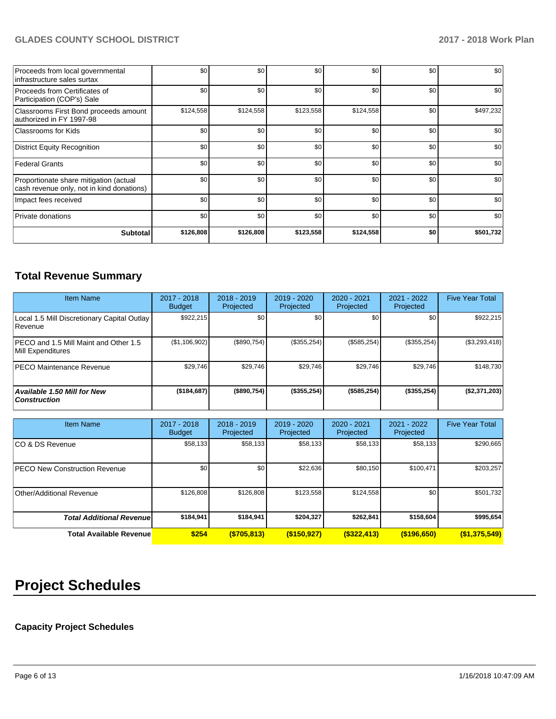## **GLADES COUNTY SCHOOL DISTRICT 2017 - 2018 Work Plan**

| Proceeds from local governmental<br>linfrastructure sales surtax                    | \$0       | \$0       | \$0       | \$0       | \$0 | \$0       |
|-------------------------------------------------------------------------------------|-----------|-----------|-----------|-----------|-----|-----------|
| Proceeds from Certificates of<br>Participation (COP's) Sale                         | \$0       | \$0       | \$0       | \$0       | \$0 | \$0       |
| Classrooms First Bond proceeds amount<br>authorized in FY 1997-98                   | \$124,558 | \$124,558 | \$123,558 | \$124,558 | \$0 | \$497,232 |
| Classrooms for Kids                                                                 | \$0       | \$0       | \$0       | \$0       | \$0 | \$0       |
| District Equity Recognition                                                         | \$0       | \$0       | \$0       | \$0       | \$0 | \$0       |
| Federal Grants                                                                      | \$0       | \$0       | \$0       | \$0       | \$0 | \$0       |
| Proportionate share mitigation (actual<br>cash revenue only, not in kind donations) | \$0       | \$0       | \$0       | \$0       | \$0 | \$0       |
| Impact fees received                                                                | \$0       | \$0       | \$0       | \$0       | \$0 | \$0       |
| Private donations                                                                   | \$0       | \$0       | \$0       | \$0       | \$0 | \$0       |
| <b>Subtotal</b>                                                                     | \$126,808 | \$126,808 | \$123,558 | \$124,558 | \$0 | \$501,732 |

## **Total Revenue Summary**

| Item Name                                                  | $2017 - 2018$<br><b>Budget</b> | $2018 - 2019$<br>Projected | 2019 - 2020<br>Projected | $2020 - 2021$<br>Projected | $2021 - 2022$<br>Projected | <b>Five Year Total</b> |
|------------------------------------------------------------|--------------------------------|----------------------------|--------------------------|----------------------------|----------------------------|------------------------|
| Local 1.5 Mill Discretionary Capital Outlay<br>l Revenue   | \$922,215                      | \$0                        | \$0                      | \$0                        | \$0                        | \$922,215              |
| PECO and 1.5 Mill Maint and Other 1.5<br>Mill Expenditures | (\$1,106,902)                  | (S890.754)                 | (\$355,254)              | $(\$585,254)$              | (\$355, 254)               | $(\$3,293,418)$        |
| <b>PECO Maintenance Revenue</b>                            | \$29,746                       | \$29,746                   | \$29,746                 | \$29,746                   | \$29,746                   | \$148,730              |
| <b>Available 1.50 Mill for New</b><br>  Construction       | (\$184,687)                    | (\$890,754)                | (\$355,254)              | (\$585,254)                | (\$355,254)                | (\$2,371,203)          |

| <b>Item Name</b>                     | 2017 - 2018<br><b>Budget</b> | $2018 - 2019$<br>Projected | 2019 - 2020<br>Projected | 2020 - 2021<br>Projected | 2021 - 2022<br>Projected | <b>Five Year Total</b> |
|--------------------------------------|------------------------------|----------------------------|--------------------------|--------------------------|--------------------------|------------------------|
| ICO & DS Revenue                     | \$58,133                     | \$58,133                   | \$58,133                 | \$58,133                 | \$58,133                 | \$290,665              |
| <b>PECO New Construction Revenue</b> | \$0                          | \$0 <sub>1</sub>           | \$22,636                 | \$80,150                 | \$100,471                | \$203,257              |
| Other/Additional Revenue             | \$126,808                    | \$126,808                  | \$123,558                | \$124,558                | \$0                      | \$501,732              |
| <b>Total Additional Revenuel</b>     | \$184,941                    | \$184.941                  | \$204.327                | \$262,841                | \$158,604                | \$995,654              |
| <b>Total Available Revenue</b>       | \$254                        | ( \$705, 813)              | $($ \$150,927)           | $($ \$322,413)           | $($ \$196,650)           | (\$1,375,549)          |

# **Project Schedules**

## **Capacity Project Schedules**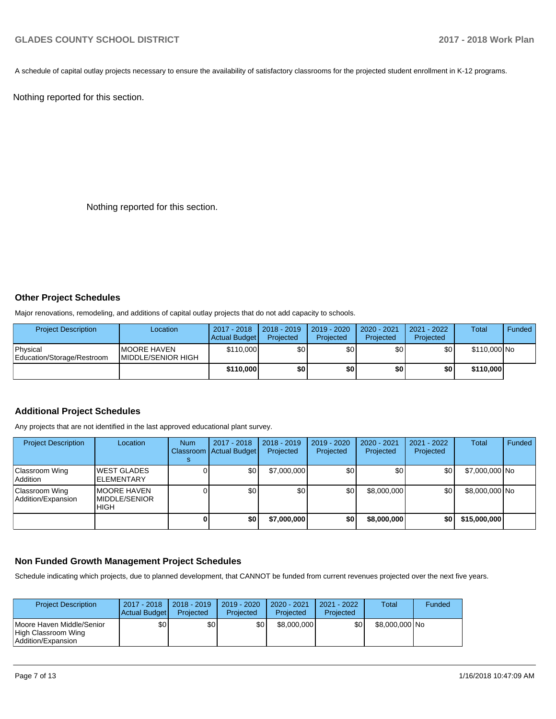A schedule of capital outlay projects necessary to ensure the availability of satisfactory classrooms for the projected student enrollment in K-12 programs.

Nothing reported for this section.

Nothing reported for this section.

## **Other Project Schedules**

Major renovations, remodeling, and additions of capital outlay projects that do not add capacity to schools.

| <b>Project Description</b>             | Location                                   | 2017 - 2018<br>Actual Budget | 2018 - 2019<br>Projected | $2019 - 2020$<br>Projected | 2020 - 2021<br>Projected | 2021 - 2022<br>Projected | <b>Total</b> | Funded |
|----------------------------------------|--------------------------------------------|------------------------------|--------------------------|----------------------------|--------------------------|--------------------------|--------------|--------|
| Physical<br>Education/Storage/Restroom | <b>IMOORE HAVEN</b><br>IMIDDLE/SENIOR HIGH | \$110,000                    | \$0 <sub>1</sub>         | \$0 <sub>1</sub>           | \$0 <sub>1</sub>         | \$0                      | \$110,000 No |        |
|                                        |                                            | \$110,000                    | \$0                      | \$0                        | \$0                      | \$O                      | \$110,000    |        |

## **Additional Project Schedules**

Any projects that are not identified in the last approved educational plant survey.

| <b>Project Description</b>           | Location                                            | <b>Num</b> | 2017 - 2018<br>Classroom Actual Budget | $2018 - 2019$<br>Projected | 2019 - 2020<br>Projected | 2020 - 2021<br>Projected | $2021 - 2022$<br>Projected | Total          | Funded |
|--------------------------------------|-----------------------------------------------------|------------|----------------------------------------|----------------------------|--------------------------|--------------------------|----------------------------|----------------|--------|
| Classroom Wing<br>Addition           | <b>WEST GLADES</b><br><b>IELEMENTARY</b>            |            | \$0                                    | \$7,000,000                | \$0 <sub>1</sub>         | \$0                      | \$0                        | \$7,000,000 No |        |
| Classroom Wing<br>Addition/Expansion | <b>MOORE HAVEN</b><br><b>MIDDLE/SENIOR</b><br>IHIGH |            | \$0 <sub>1</sub>                       | \$0                        | \$0                      | \$8,000,000              | \$0                        | \$8,000,000 No |        |
|                                      |                                                     |            | \$0                                    | \$7,000,000                | \$0                      | \$8,000,000              | \$0                        | \$15,000,000   |        |

## **Non Funded Growth Management Project Schedules**

Schedule indicating which projects, due to planned development, that CANNOT be funded from current revenues projected over the next five years.

| <b>Project Description</b>                                             | $2017 - 2018$<br>Actual Budget | $2018 - 2019$<br>Projected | $2019 - 2020$<br>Projected | $2020 - 2021$<br>Projected | 2021 - 2022<br>Projected | Total          | Funded |
|------------------------------------------------------------------------|--------------------------------|----------------------------|----------------------------|----------------------------|--------------------------|----------------|--------|
| Moore Haven Middle/Senior<br>High Classroom Wing<br>Addition/Expansion | \$0                            | \$0                        | \$0                        | \$8,000,000                | \$0                      | \$8,000,000 No |        |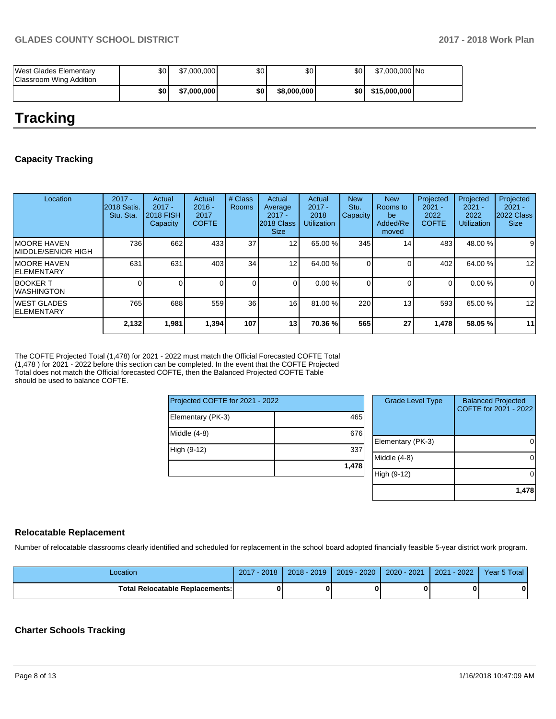| West Glades Elementary<br>Classroom Wing Addition | \$0 | \$7,000,000 | \$0 I | \$٥Ι        | \$0   | \$7,000,000 No |  |
|---------------------------------------------------|-----|-------------|-------|-------------|-------|----------------|--|
|                                                   | \$0 | \$7,000,000 | \$0 I | \$8,000,000 | \$0 I | \$15,000,000   |  |

## **Tracking**

## **Capacity Tracking**

| Location                                 | $2017 -$<br>2018 Satis.<br>Stu. Sta. | Actual<br>$2017 -$<br><b>2018 FISH</b><br>Capacity | Actual<br>$2016 -$<br>2017<br><b>COFTE</b> | # Class<br><b>Rooms</b> | Actual<br>Average<br>$2017 -$<br>2018 Class<br><b>Size</b> | Actual<br>$2017 -$<br>2018<br><b>Utilization</b> | <b>New</b><br>Stu.<br>Capacity | <b>New</b><br>Rooms to<br>be<br>Added/Re<br>moved | Projected<br>$2021 -$<br>2022<br><b>COFTE</b> | Projected<br>$2021 -$<br>2022<br><b>Utilization</b> | Projected<br>$2021 -$<br>2022 Class<br><b>Size</b> |
|------------------------------------------|--------------------------------------|----------------------------------------------------|--------------------------------------------|-------------------------|------------------------------------------------------------|--------------------------------------------------|--------------------------------|---------------------------------------------------|-----------------------------------------------|-----------------------------------------------------|----------------------------------------------------|
| IMOORE HAVEN<br>MIDDLE/SENIOR HIGH       | 736                                  | 662                                                | 433                                        | 37                      | 12                                                         | 65.00 %                                          | 345                            | 14                                                | 483                                           | 48.00 %                                             | 9                                                  |
| IMOORE HAVEN<br>IELEMENTARY              | 631                                  | 631                                                | 403                                        | 34                      | 12 <sub>1</sub>                                            | 64.00 %                                          | ΟI                             |                                                   | 402                                           | 64.00 %                                             | 12                                                 |
| <b>BOOKER T</b><br>IWASHINGTON           |                                      |                                                    |                                            |                         | $\Omega$                                                   | 0.00 %                                           |                                |                                                   | 0                                             | 0.00%                                               | 0                                                  |
| <b>IWEST GLADES</b><br><b>ELEMENTARY</b> | 765                                  | 688                                                | 559                                        | 36                      | 16                                                         | 81.00 %                                          | 220                            | 13                                                | 593                                           | 65.00 %                                             | 12                                                 |
|                                          | 2,132                                | 1,981                                              | 1,394                                      | 107                     | 13                                                         | 70.36 %                                          | 565                            | 27                                                | 1,478                                         | 58.05 %                                             | 11                                                 |

The COFTE Projected Total (1,478) for 2021 - 2022 must match the Official Forecasted COFTE Total (1,478 ) for 2021 - 2022 before this section can be completed. In the event that the COFTE Projected Total does not match the Official forecasted COFTE, then the Balanced Projected COFTE Table should be used to balance COFTE.

| Projected COFTE for 2021 - 2022 |       |  |  |  |  |  |
|---------------------------------|-------|--|--|--|--|--|
| Elementary (PK-3)               | 465   |  |  |  |  |  |
| Middle (4-8)                    | 676   |  |  |  |  |  |
| High (9-12)                     | 337   |  |  |  |  |  |
|                                 | 1,478 |  |  |  |  |  |

| <b>Grade Level Type</b> | <b>Balanced Projected</b><br>COFTE for 2021 - 2022 |
|-------------------------|----------------------------------------------------|
| Elementary (PK-3)       |                                                    |
| Middle $(4-8)$          |                                                    |
| High (9-12)             |                                                    |
|                         | 1,478                                              |

## **Relocatable Replacement**

Number of relocatable classrooms clearly identified and scheduled for replacement in the school board adopted financially feasible 5-year district work program.

| -ocation                               | $-2018$<br>2017 | $2018 - 2019$ | $2019 - 2020$ | 2020 - 2021 | $-2022'$<br>2021 | Year 5 Total |
|----------------------------------------|-----------------|---------------|---------------|-------------|------------------|--------------|
| <b>Total Relocatable Replacements:</b> |                 |               |               |             |                  | 0            |

## **Charter Schools Tracking**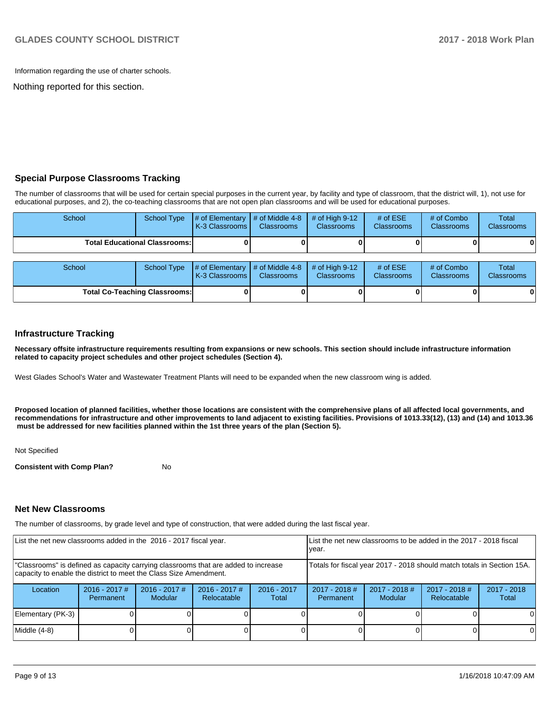Information regarding the use of charter schools.

Nothing reported for this section.

## **Special Purpose Classrooms Tracking**

The number of classrooms that will be used for certain special purposes in the current year, by facility and type of classroom, that the district will, 1), not use for educational purposes, and 2), the co-teaching classrooms that are not open plan classrooms and will be used for educational purposes.

| School | School Type                          | $\#$ of Elementary $\#$ of Middle 4-8<br><b>K-3 Classrooms L</b>       | <b>Classrooms</b> | $#$ of High 9-12<br><b>Classrooms</b>  | # of $ESE$<br><b>Classrooms</b> | # of Combo<br><b>Classrooms</b> | Total<br><b>Classrooms</b> |
|--------|--------------------------------------|------------------------------------------------------------------------|-------------------|----------------------------------------|---------------------------------|---------------------------------|----------------------------|
|        | <b>Total Educational Classrooms:</b> |                                                                        |                   |                                        |                                 |                                 | 0                          |
| School | School Type                          | $\sharp$ of Elementary $\sharp$ of Middle 4-8<br><b>K-3 Classrooms</b> | <b>Classrooms</b> | $\#$ of High 9-12<br><b>Classrooms</b> | # of $ESE$<br>Classrooms        | # of Combo<br><b>Classrooms</b> | Total<br><b>Classrooms</b> |

**Total Co-Teaching Classrooms: 0 0 0 0 0 0**

## **Infrastructure Tracking**

**Necessary offsite infrastructure requirements resulting from expansions or new schools. This section should include infrastructure information related to capacity project schedules and other project schedules (Section 4).** 

West Glades School's Water and Wastewater Treatment Plants will need to be expanded when the new classroom wing is added.

**Proposed location of planned facilities, whether those locations are consistent with the comprehensive plans of all affected local governments, and recommendations for infrastructure and other improvements to land adjacent to existing facilities. Provisions of 1013.33(12), (13) and (14) and 1013.36 must be addressed for new facilities planned within the 1st three years of the plan (Section 5).** 

Not Specified

**Consistent with Comp Plan?** No

## **Net New Classrooms**

The number of classrooms, by grade level and type of construction, that were added during the last fiscal year.

| List the net new classrooms added in the 2016 - 2017 fiscal year.                                                                                       |                              |                            | List the net new classrooms to be added in the 2017 - 2018 fiscal<br>vear. |                        |                              |                            |                                |                        |
|---------------------------------------------------------------------------------------------------------------------------------------------------------|------------------------------|----------------------------|----------------------------------------------------------------------------|------------------------|------------------------------|----------------------------|--------------------------------|------------------------|
| "Classrooms" is defined as capacity carrying classrooms that are added to increase<br>capacity to enable the district to meet the Class Size Amendment. |                              |                            | Totals for fiscal year 2017 - 2018 should match totals in Section 15A.     |                        |                              |                            |                                |                        |
| Location                                                                                                                                                | $2016 - 2017$ #<br>Permanent | $2016 - 2017$ #<br>Modular | $2016 - 2017$ #<br>Relocatable                                             | $2016 - 2017$<br>Total | $2017 - 2018$ #<br>Permanent | $2017 - 2018$ #<br>Modular | $2017 - 2018$ #<br>Relocatable | $2017 - 2018$<br>Total |
| Elementary (PK-3)                                                                                                                                       |                              |                            |                                                                            |                        |                              |                            |                                | 0                      |
| Middle (4-8)                                                                                                                                            |                              |                            |                                                                            |                        |                              |                            |                                | $\Omega$               |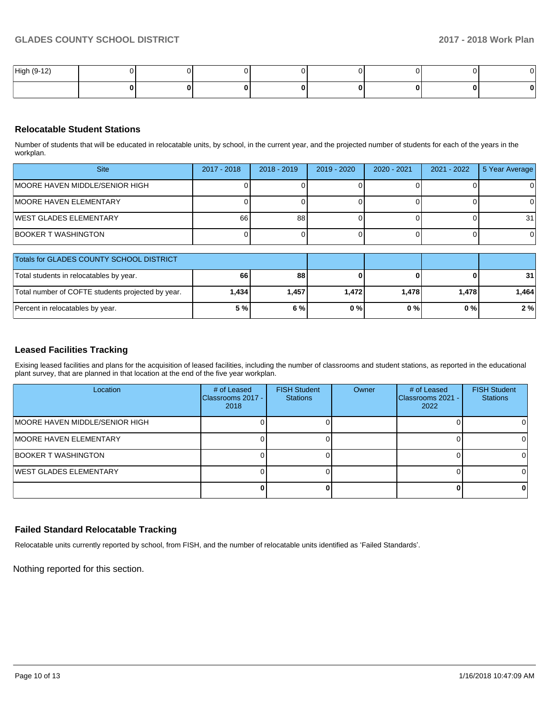| High (9-12) |  |  |  |   | . <i>.</i> |
|-------------|--|--|--|---|------------|
|             |  |  |  | 0 |            |

## **Relocatable Student Stations**

Number of students that will be educated in relocatable units, by school, in the current year, and the projected number of students for each of the years in the workplan.

| <b>Site</b>                     | 2017 - 2018 | 2018 - 2019 | 2019 - 2020 | 2020 - 2021 | 2021 - 2022 | 5 Year Average |
|---------------------------------|-------------|-------------|-------------|-------------|-------------|----------------|
| IMOORE HAVEN MIDDLE/SENIOR HIGH |             |             |             |             |             |                |
| <b>IMOORE HAVEN ELEMENTARY</b>  |             |             |             |             |             |                |
| <b>IWEST GLADES ELEMENTARY</b>  | 66          | 88          |             |             |             | 31             |
| <b>BOOKER T WASHINGTON</b>      |             |             |             |             |             |                |

| Totals for GLADES COUNTY SCHOOL DISTRICT          |       |       |       |       |       |                 |
|---------------------------------------------------|-------|-------|-------|-------|-------|-----------------|
| Total students in relocatables by year.           | 66 I  | 88    |       |       |       | 31 <sup>1</sup> |
| Total number of COFTE students projected by year. | 1,434 | 1,457 | 1.472 | 1.478 | 1.478 | 1.464           |
| Percent in relocatables by year.                  | 5%    | 6%    | 0%    | 0%    | 0%    | 2%              |

## **Leased Facilities Tracking**

Exising leased facilities and plans for the acquisition of leased facilities, including the number of classrooms and student stations, as reported in the educational plant survey, that are planned in that location at the end of the five year workplan.

| Location                        | # of Leased<br>Classrooms 2017 -<br>2018 | <b>FISH Student</b><br><b>Stations</b> | Owner | # of Leased<br>Classrooms 2021 -<br>2022 | <b>FISH Student</b><br><b>Stations</b> |
|---------------------------------|------------------------------------------|----------------------------------------|-------|------------------------------------------|----------------------------------------|
| IMOORE HAVEN MIDDLE/SENIOR HIGH |                                          |                                        |       |                                          |                                        |
| <b>IMOORE HAVEN ELEMENTARY</b>  |                                          |                                        |       |                                          |                                        |
| <b>BOOKER T WASHINGTON</b>      |                                          |                                        |       |                                          |                                        |
| <b>IWEST GLADES ELEMENTARY</b>  |                                          |                                        |       |                                          |                                        |
|                                 |                                          |                                        |       |                                          |                                        |

## **Failed Standard Relocatable Tracking**

Relocatable units currently reported by school, from FISH, and the number of relocatable units identified as 'Failed Standards'.

Nothing reported for this section.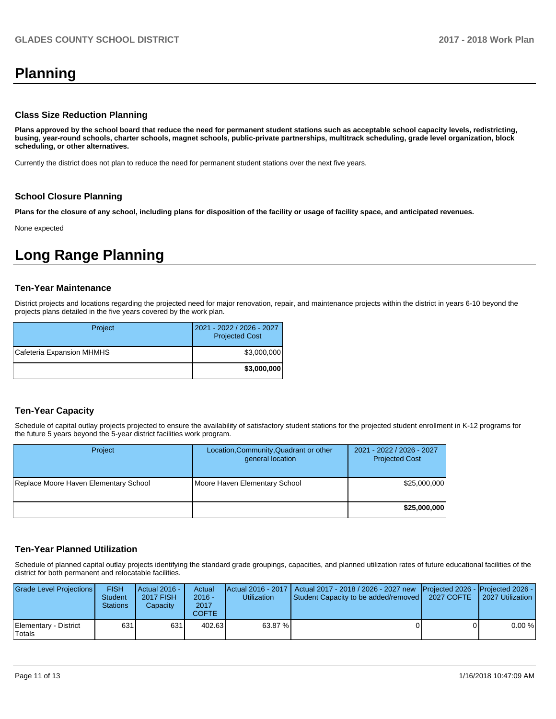# **Planning**

## **Class Size Reduction Planning**

**Plans approved by the school board that reduce the need for permanent student stations such as acceptable school capacity levels, redistricting, busing, year-round schools, charter schools, magnet schools, public-private partnerships, multitrack scheduling, grade level organization, block scheduling, or other alternatives.**

Currently the district does not plan to reduce the need for permanent student stations over the next five years.

## **School Closure Planning**

**Plans for the closure of any school, including plans for disposition of the facility or usage of facility space, and anticipated revenues.** 

None expected

## **Long Range Planning**

## **Ten-Year Maintenance**

District projects and locations regarding the projected need for major renovation, repair, and maintenance projects within the district in years 6-10 beyond the projects plans detailed in the five years covered by the work plan.

| Project                   | 2021 - 2022 / 2026 - 2027<br><b>Projected Cost</b> |
|---------------------------|----------------------------------------------------|
| Cafeteria Expansion MHMHS | \$3,000,000                                        |
|                           | \$3,000,000                                        |

## **Ten-Year Capacity**

Schedule of capital outlay projects projected to ensure the availability of satisfactory student stations for the projected student enrollment in K-12 programs for the future 5 years beyond the 5-year district facilities work program.

| Project                               | Location, Community, Quadrant or other<br>general location | 2021 - 2022 / 2026 - 2027<br><b>Projected Cost</b> |
|---------------------------------------|------------------------------------------------------------|----------------------------------------------------|
| Replace Moore Haven Elementary School | Moore Haven Elementary School                              | \$25,000,000                                       |
|                                       |                                                            | \$25,000,000                                       |

## **Ten-Year Planned Utilization**

Schedule of planned capital outlay projects identifying the standard grade groupings, capacities, and planned utilization rates of future educational facilities of the district for both permanent and relocatable facilities.

| Grade Level Projections         | <b>FISH</b><br><b>Student</b><br><b>Stations</b> | Actual 2016 -<br><b>2017 FISH</b><br>Capacity | Actual<br>$2016 -$<br>2017<br>COFTE | <b>Utilization</b> | Actual 2016 - 2017   Actual 2017 - 2018 / 2026 - 2027 new   Projected 2026 -   Projected 2026 -<br>Student Capacity to be added/removed   2027 COFTE | 2027 Utilization |
|---------------------------------|--------------------------------------------------|-----------------------------------------------|-------------------------------------|--------------------|------------------------------------------------------------------------------------------------------------------------------------------------------|------------------|
| Elementary - District<br>Totals | 631                                              | 6311                                          | 402.63                              | 63.87 %            |                                                                                                                                                      | 0.00%            |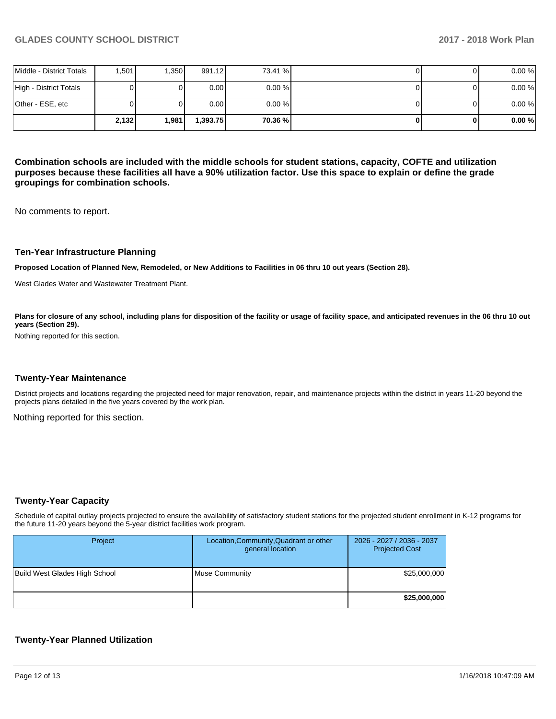|                          | 2,132 | 1.981 | 1.393.75 | 70.36 %   | 0 | 0.00% |
|--------------------------|-------|-------|----------|-----------|---|-------|
| Other - ESE, etc         |       |       | 0.00     | $0.00 \%$ |   | 0.00% |
| High - District Totals   |       |       | 0.00     | $0.00 \%$ |   | 0.00% |
| Middle - District Totals | .501  | .350  | 991.12   | 73.41 %   |   | 0.00% |

**Combination schools are included with the middle schools for student stations, capacity, COFTE and utilization purposes because these facilities all have a 90% utilization factor. Use this space to explain or define the grade groupings for combination schools.** 

No comments to report.

## **Ten-Year Infrastructure Planning**

**Proposed Location of Planned New, Remodeled, or New Additions to Facilities in 06 thru 10 out years (Section 28).**

West Glades Water and Wastewater Treatment Plant.

Plans for closure of any school, including plans for disposition of the facility or usage of facility space, and anticipated revenues in the 06 thru 10 out **years (Section 29).**

Nothing reported for this section.

#### **Twenty-Year Maintenance**

District projects and locations regarding the projected need for major renovation, repair, and maintenance projects within the district in years 11-20 beyond the projects plans detailed in the five years covered by the work plan.

Nothing reported for this section.

## **Twenty-Year Capacity**

Schedule of capital outlay projects projected to ensure the availability of satisfactory student stations for the projected student enrollment in K-12 programs for the future 11-20 years beyond the 5-year district facilities work program.

| Project                       | Location, Community, Quadrant or other<br>general location | 2026 - 2027 / 2036 - 2037<br><b>Projected Cost</b> |
|-------------------------------|------------------------------------------------------------|----------------------------------------------------|
| Build West Glades High School | <b>Muse Community</b>                                      | \$25,000,000                                       |
|                               |                                                            | \$25,000,000                                       |

## **Twenty-Year Planned Utilization**